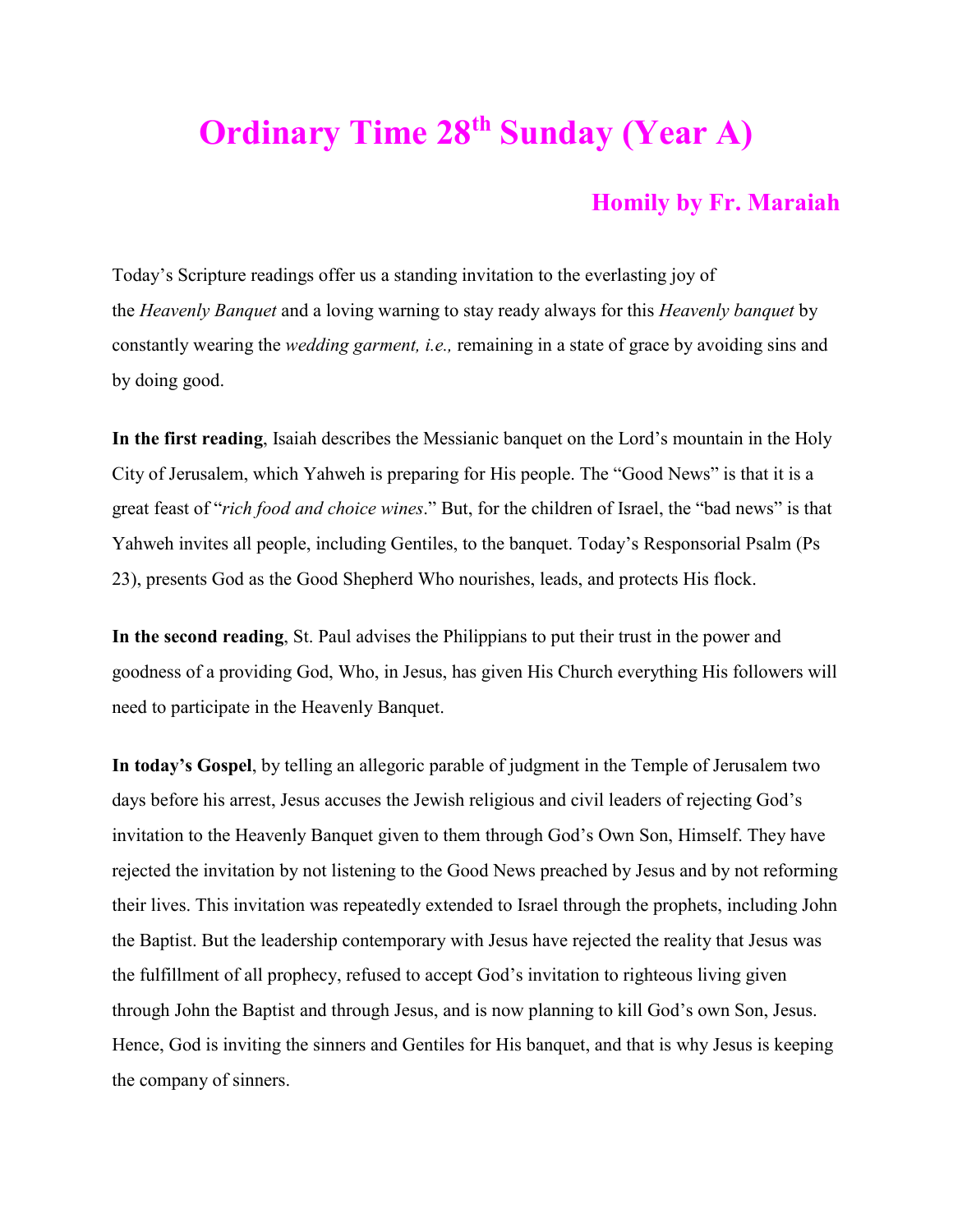## **Ordinary Time 28th Sunday (Year A)**

## **Homily by Fr. Maraiah**

Today's Scripture readings offer us a standing invitation to the everlasting joy of the *Heavenly Banquet* and a loving warning to stay ready always for this *Heavenly banquet* by constantly wearing the *wedding garment, i.e.,* remaining in a state of grace by avoiding sins and by doing good.

**In the first reading**, Isaiah describes the Messianic banquet on the Lord's mountain in the Holy City of Jerusalem, which Yahweh is preparing for His people. The "Good News" is that it is a great feast of "*rich food and choice wines*." But, for the children of Israel, the "bad news" is that Yahweh invites all people, including Gentiles, to the banquet. Today's Responsorial Psalm (Ps 23), presents God as the Good Shepherd Who nourishes, leads, and protects His flock.

**In the second reading**, St. Paul advises the Philippians to put their trust in the power and goodness of a providing God, Who, in Jesus, has given His Church everything His followers will need to participate in the Heavenly Banquet.

**In today's Gospel**, by telling an allegoric parable of judgment in the Temple of Jerusalem two days before his arrest, Jesus accuses the Jewish religious and civil leaders of rejecting God's invitation to the Heavenly Banquet given to them through God's Own Son, Himself. They have rejected the invitation by not listening to the Good News preached by Jesus and by not reforming their lives. This invitation was repeatedly extended to Israel through the prophets, including John the Baptist. But the leadership contemporary with Jesus have rejected the reality that Jesus was the fulfillment of all prophecy, refused to accept God's invitation to righteous living given through John the Baptist and through Jesus, and is now planning to kill God's own Son, Jesus. Hence, God is inviting the sinners and Gentiles for His banquet, and that is why Jesus is keeping the company of sinners.